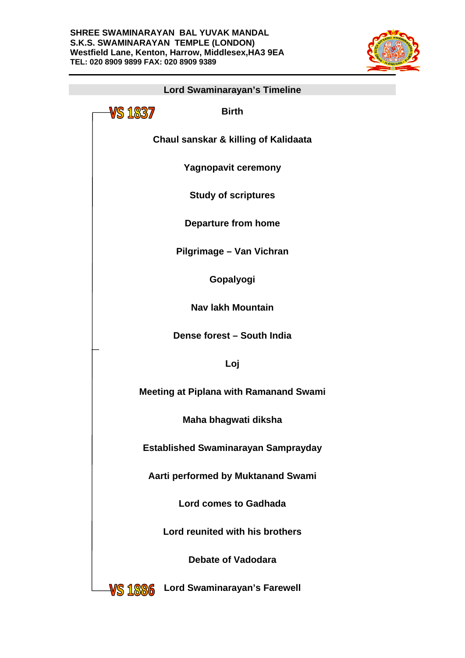

| Lord Swaminarayan's Timeline                    |
|-------------------------------------------------|
| VS 1837<br><b>Birth</b>                         |
| <b>Chaul sanskar &amp; killing of Kalidaata</b> |
| <b>Yagnopavit ceremony</b>                      |
| <b>Study of scriptures</b>                      |
| <b>Departure from home</b>                      |
| Pilgrimage - Van Vichran                        |
| Gopalyogi                                       |
| <b>Nav lakh Mountain</b>                        |
| Dense forest - South India                      |
| Loj                                             |
| <b>Meeting at Piplana with Ramanand Swami</b>   |
| Maha bhagwati diksha                            |
| <b>Established Swaminarayan Samprayday</b>      |
| Aarti performed by Muktanand Swami              |
| <b>Lord comes to Gadhada</b>                    |
| Lord reunited with his brothers                 |
| Debate of Vadodara                              |
| Lord Swaminarayan's Farewell<br>VS 1886         |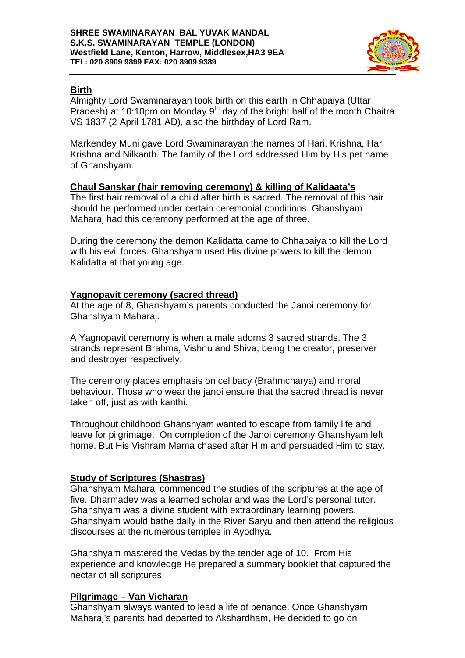

# **Birth**

Almighty Lord Swaminarayan took birth on this earth in Chhapaiya (Uttar Pradesh) at 10:10pm on Monday 9<sup>th</sup> day of the bright half of the month Chaitra VS 1837 (2 April 1781 AD), also the birthday of Lord Ram.

Markendey Muni gave Lord Swaminarayan the names of Hari, Krishna, Hari Krishna and Nilkanth. The family of the Lord addressed Him by His pet name of Ghanshyam.

# **Chaul Sanskar (hair removing ceremony) & killing of Kalidaata's**

The first hair removal of a child after birth is sacred. The removal of this hair should be performed under certain ceremonial conditions. Ghanshyam Maharaj had this ceremony performed at the age of three.

During the ceremony the demon Kalidatta came to Chhapaiya to kill the Lord with his evil forces. Ghanshyam used His divine powers to kill the demon Kalidatta at that young age.

# **Yagnopavit ceremony (sacred thread)**

At the age of 8, Ghanshyam's parents conducted the Janoi ceremony for Ghanshyam Maharaj.

A Yagnopavit ceremony is when a male adorns 3 sacred strands. The 3 strands represent Brahma, Vishnu and Shiva, being the creator, preserver and destroyer respectively.

The ceremony places emphasis on celibacy (Brahmcharya) and moral behaviour. Those who wear the janoi ensure that the sacred thread is never taken off, just as with kanthi.

Throughout childhood Ghanshyam wanted to escape from family life and leave for pilgrimage. On completion of the Janoi ceremony Ghanshyam left home. But His Vishram Mama chased after Him and persuaded Him to stay.

### **Study of Scriptures (Shastras)**

Ghanshyam Maharaj commenced the studies of the scriptures at the age of five. Dharmadev was a learned scholar and was the Lord's personal tutor. Ghanshyam was a divine student with extraordinary learning powers. Ghanshyam would bathe daily in the River Saryu and then attend the religious discourses at the numerous temples in Ayodhya.

Ghanshyam mastered the Vedas by the tender age of 10. From His experience and knowledge He prepared a summary booklet that captured the nectar of all scriptures.

### **Pilgrimage – Van Vicharan**

Ghanshyam always wanted to lead a life of penance. Once Ghanshyam Maharaj's parents had departed to Akshardham, He decided to go on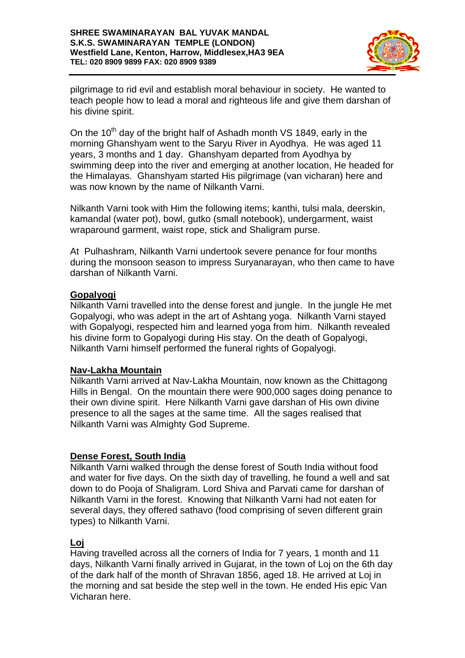

pilgrimage to rid evil and establish moral behaviour in society. He wanted to teach people how to lead a moral and righteous life and give them darshan of his divine spirit.

On the  $10<sup>th</sup>$  day of the bright half of Ashadh month VS 1849, early in the morning Ghanshyam went to the Saryu River in Ayodhya. He was aged 11 years, 3 months and 1 day. Ghanshyam departed from Ayodhya by swimming deep into the river and emerging at another location, He headed for the Himalayas. Ghanshyam started His pilgrimage (van vicharan) here and was now known by the name of Nilkanth Varni.

Nilkanth Varni took with Him the following items; kanthi, tulsi mala, deerskin, kamandal (water pot), bowl, gutko (small notebook), undergarment, waist wraparound garment, waist rope, stick and Shaligram purse.

At Pulhashram, Nilkanth Varni undertook severe penance for four months during the monsoon season to impress Suryanarayan, who then came to have darshan of Nilkanth Varni.

### **Gopalyogi**

Nilkanth Varni travelled into the dense forest and jungle. In the jungle He met Gopalyogi, who was adept in the art of Ashtang yoga. Nilkanth Varni stayed with Gopalyogi, respected him and learned yoga from him. Nilkanth revealed his divine form to Gopalyogi during His stay. On the death of Gopalyogi, Nilkanth Varni himself performed the funeral rights of Gopalyogi.

### **Nav-Lakha Mountain**

Nilkanth Varni arrived at Nav-Lakha Mountain, now known as the Chittagong Hills in Bengal. On the mountain there were 900,000 sages doing penance to their own divine spirit. Here Nilkanth Varni gave darshan of His own divine presence to all the sages at the same time. All the sages realised that Nilkanth Varni was Almighty God Supreme.

### **Dense Forest, South India**

Nilkanth Varni walked through the dense forest of South India without food and water for five days. On the sixth day of travelling, he found a well and sat down to do Pooja of Shaligram. Lord Shiva and Parvati came for darshan of Nilkanth Varni in the forest. Knowing that Nilkanth Varni had not eaten for several days, they offered sathavo (food comprising of seven different grain types) to Nilkanth Varni.

### **Loj**

Having travelled across all the corners of India for 7 years, 1 month and 11 days, Nilkanth Varni finally arrived in Gujarat, in the town of Loj on the 6th day of the dark half of the month of Shravan 1856, aged 18. He arrived at Loj in the morning and sat beside the step well in the town. He ended His epic Van Vicharan here.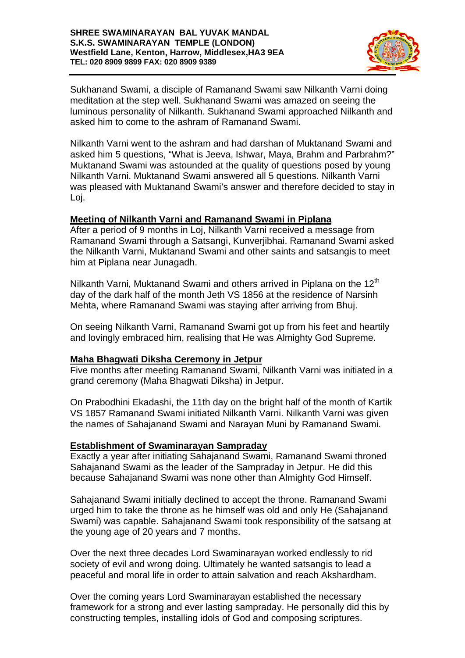

Sukhanand Swami, a disciple of Ramanand Swami saw Nilkanth Varni doing meditation at the step well. Sukhanand Swami was amazed on seeing the luminous personality of Nilkanth. Sukhanand Swami approached Nilkanth and asked him to come to the ashram of Ramanand Swami.

Nilkanth Varni went to the ashram and had darshan of Muktanand Swami and asked him 5 questions, "What is Jeeva, Ishwar, Maya, Brahm and Parbrahm?" Muktanand Swami was astounded at the quality of questions posed by young Nilkanth Varni. Muktanand Swami answered all 5 questions. Nilkanth Varni was pleased with Muktanand Swami's answer and therefore decided to stay in Loj.

### **Meeting of Nilkanth Varni and Ramanand Swami in Piplana**

After a period of 9 months in Loj, Nilkanth Varni received a message from Ramanand Swami through a Satsangi, Kunverjibhai. Ramanand Swami asked the Nilkanth Varni, Muktanand Swami and other saints and satsangis to meet him at Piplana near Junagadh.

Nilkanth Varni, Muktanand Swami and others arrived in Piplana on the 12<sup>th</sup> day of the dark half of the month Jeth VS 1856 at the residence of Narsinh Mehta, where Ramanand Swami was staying after arriving from Bhuj.

On seeing Nilkanth Varni, Ramanand Swami got up from his feet and heartily and lovingly embraced him, realising that He was Almighty God Supreme.

### **Maha Bhagwati Diksha Ceremony in Jetpur**

Five months after meeting Ramanand Swami, Nilkanth Varni was initiated in a grand ceremony (Maha Bhagwati Diksha) in Jetpur.

On Prabodhini Ekadashi, the 11th day on the bright half of the month of Kartik VS 1857 Ramanand Swami initiated Nilkanth Varni. Nilkanth Varni was given the names of Sahajanand Swami and Narayan Muni by Ramanand Swami.

#### **Establishment of Swaminarayan Sampraday**

Exactly a year after initiating Sahajanand Swami, Ramanand Swami throned Sahajanand Swami as the leader of the Sampraday in Jetpur. He did this because Sahajanand Swami was none other than Almighty God Himself.

Sahajanand Swami initially declined to accept the throne. Ramanand Swami urged him to take the throne as he himself was old and only He (Sahajanand Swami) was capable. Sahajanand Swami took responsibility of the satsang at the young age of 20 years and 7 months.

Over the next three decades Lord Swaminarayan worked endlessly to rid society of evil and wrong doing. Ultimately he wanted satsangis to lead a peaceful and moral life in order to attain salvation and reach Akshardham.

Over the coming years Lord Swaminarayan established the necessary framework for a strong and ever lasting sampraday. He personally did this by constructing temples, installing idols of God and composing scriptures.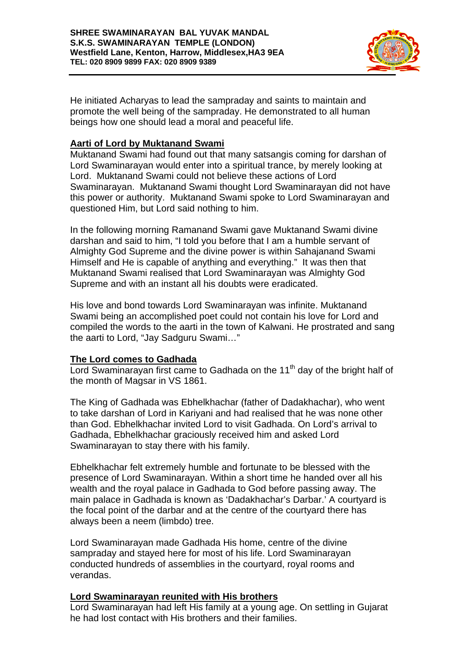

He initiated Acharyas to lead the sampraday and saints to maintain and promote the well being of the sampraday. He demonstrated to all human beings how one should lead a moral and peaceful life.

# **Aarti of Lord by Muktanand Swami**

Muktanand Swami had found out that many satsangis coming for darshan of Lord Swaminarayan would enter into a spiritual trance, by merely looking at Lord. Muktanand Swami could not believe these actions of Lord Swaminarayan. Muktanand Swami thought Lord Swaminarayan did not have this power or authority. Muktanand Swami spoke to Lord Swaminarayan and questioned Him, but Lord said nothing to him.

In the following morning Ramanand Swami gave Muktanand Swami divine darshan and said to him, "I told you before that I am a humble servant of Almighty God Supreme and the divine power is within Sahajanand Swami Himself and He is capable of anything and everything." It was then that Muktanand Swami realised that Lord Swaminarayan was Almighty God Supreme and with an instant all his doubts were eradicated.

His love and bond towards Lord Swaminarayan was infinite. Muktanand Swami being an accomplished poet could not contain his love for Lord and compiled the words to the aarti in the town of Kalwani. He prostrated and sang the aarti to Lord, "Jay Sadguru Swami…"

### **The Lord comes to Gadhada**

Lord Swaminarayan first came to Gadhada on the 11<sup>th</sup> day of the bright half of the month of Magsar in VS 1861.

The King of Gadhada was Ebhelkhachar (father of Dadakhachar), who went to take darshan of Lord in Kariyani and had realised that he was none other than God. Ebhelkhachar invited Lord to visit Gadhada. On Lord's arrival to Gadhada, Ebhelkhachar graciously received him and asked Lord Swaminarayan to stay there with his family.

Ebhelkhachar felt extremely humble and fortunate to be blessed with the presence of Lord Swaminarayan. Within a short time he handed over all his wealth and the royal palace in Gadhada to God before passing away. The main palace in Gadhada is known as 'Dadakhachar's Darbar.' A courtyard is the focal point of the darbar and at the centre of the courtyard there has always been a neem (limbdo) tree.

Lord Swaminarayan made Gadhada His home, centre of the divine sampraday and stayed here for most of his life. Lord Swaminarayan conducted hundreds of assemblies in the courtyard, royal rooms and verandas.

### **Lord Swaminarayan reunited with His brothers**

Lord Swaminarayan had left His family at a young age. On settling in Gujarat he had lost contact with His brothers and their families.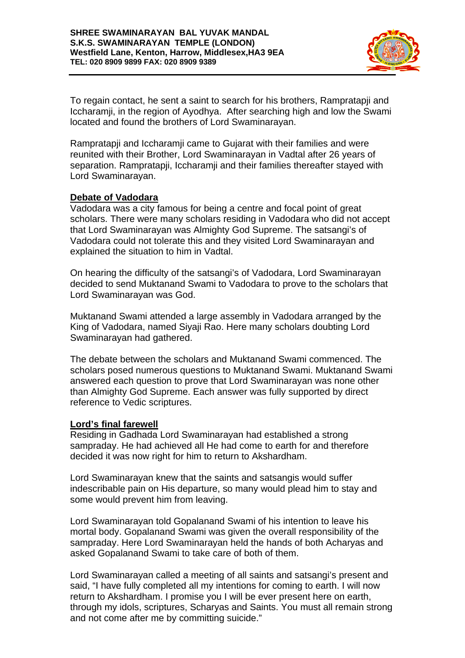

To regain contact, he sent a saint to search for his brothers, Rampratapji and Iccharamji, in the region of Ayodhya. After searching high and low the Swami located and found the brothers of Lord Swaminarayan.

Rampratapji and Iccharamji came to Gujarat with their families and were reunited with their Brother, Lord Swaminarayan in Vadtal after 26 years of separation. Rampratapji, Iccharamji and their families thereafter stayed with Lord Swaminarayan.

### **Debate of Vadodara**

Vadodara was a city famous for being a centre and focal point of great scholars. There were many scholars residing in Vadodara who did not accept that Lord Swaminarayan was Almighty God Supreme. The satsangi's of Vadodara could not tolerate this and they visited Lord Swaminarayan and explained the situation to him in Vadtal.

On hearing the difficulty of the satsangi's of Vadodara, Lord Swaminarayan decided to send Muktanand Swami to Vadodara to prove to the scholars that Lord Swaminarayan was God.

Muktanand Swami attended a large assembly in Vadodara arranged by the King of Vadodara, named Siyaji Rao. Here many scholars doubting Lord Swaminarayan had gathered.

The debate between the scholars and Muktanand Swami commenced. The scholars posed numerous questions to Muktanand Swami. Muktanand Swami answered each question to prove that Lord Swaminarayan was none other than Almighty God Supreme. Each answer was fully supported by direct reference to Vedic scriptures.

### **Lord's final farewell**

Residing in Gadhada Lord Swaminarayan had established a strong sampraday. He had achieved all He had come to earth for and therefore decided it was now right for him to return to Akshardham.

Lord Swaminarayan knew that the saints and satsangis would suffer indescribable pain on His departure, so many would plead him to stay and some would prevent him from leaving.

Lord Swaminarayan told Gopalanand Swami of his intention to leave his mortal body. Gopalanand Swami was given the overall responsibility of the sampraday. Here Lord Swaminarayan held the hands of both Acharyas and asked Gopalanand Swami to take care of both of them.

Lord Swaminarayan called a meeting of all saints and satsangi's present and said, "I have fully completed all my intentions for coming to earth. I will now return to Akshardham. I promise you I will be ever present here on earth, through my idols, scriptures, Scharyas and Saints. You must all remain strong and not come after me by committing suicide."